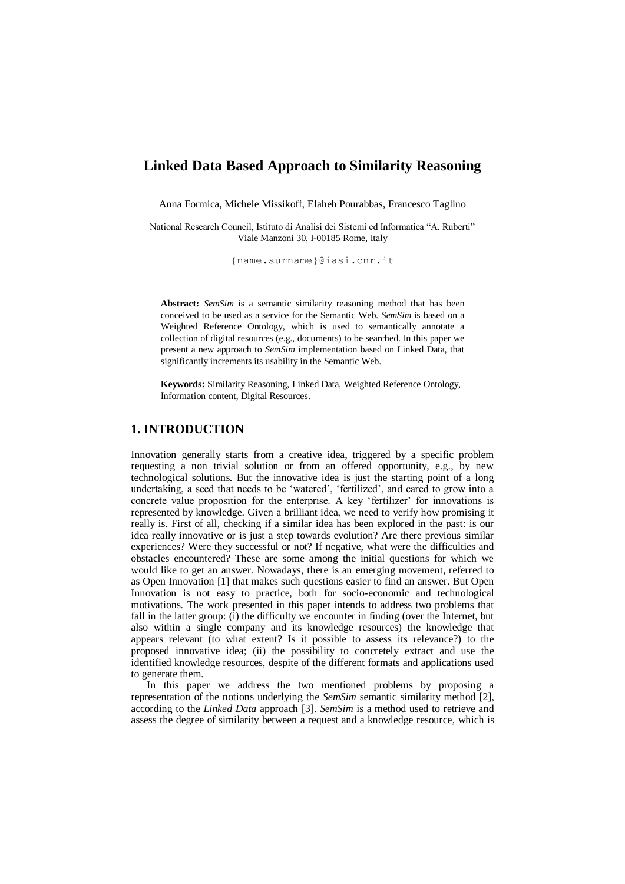# **Linked Data Based Approach to Similarity Reasoning**

Anna Formica, Michele Missikoff, Elaheh Pourabbas, Francesco Taglino

National Research Council, Istituto di Analisi dei Sistemi ed Informatica "A. Ruberti" Viale Manzoni 30, I-00185 Rome, Italy

{name.surname}@iasi.cnr.it

**Abstract:** *SemSim* is a semantic similarity reasoning method that has been conceived to be used as a service for the Semantic Web. *SemSim* is based on a Weighted Reference Ontology, which is used to semantically annotate a collection of digital resources (e.g., documents) to be searched. In this paper we present a new approach to *SemSim* implementation based on Linked Data, that significantly increments its usability in the Semantic Web.

**Keywords:** Similarity Reasoning, Linked Data, Weighted Reference Ontology, Information content, Digital Resources.

### **1. INTRODUCTION**

Innovation generally starts from a creative idea, triggered by a specific problem requesting a non trivial solution or from an offered opportunity, e.g., by new technological solutions. But the innovative idea is just the starting point of a long undertaking, a seed that needs to be 'watered', 'fertilized', and cared to grow into a concrete value proposition for the enterprise. A key 'fertilizer' for innovations is represented by knowledge. Given a brilliant idea, we need to verify how promising it really is. First of all, checking if a similar idea has been explored in the past: is our idea really innovative or is just a step towards evolution? Are there previous similar experiences? Were they successful or not? If negative, what were the difficulties and obstacles encountered? These are some among the initial questions for which we would like to get an answer. Nowadays, there is an emerging movement, referred to as Open Innovation [1] that makes such questions easier to find an answer. But Open Innovation is not easy to practice, both for socio-economic and technological motivations. The work presented in this paper intends to address two problems that fall in the latter group: (i) the difficulty we encounter in finding (over the Internet, but also within a single company and its knowledge resources) the knowledge that appears relevant (to what extent? Is it possible to assess its relevance?) to the proposed innovative idea; (ii) the possibility to concretely extract and use the identified knowledge resources, despite of the different formats and applications used to generate them.

In this paper we address the two mentioned problems by proposing a representation of the notions underlying the *SemSim* semantic similarity method [2], according to the *Linked Data* approach [3]. *SemSim* is a method used to retrieve and assess the degree of similarity between a request and a knowledge resource, which is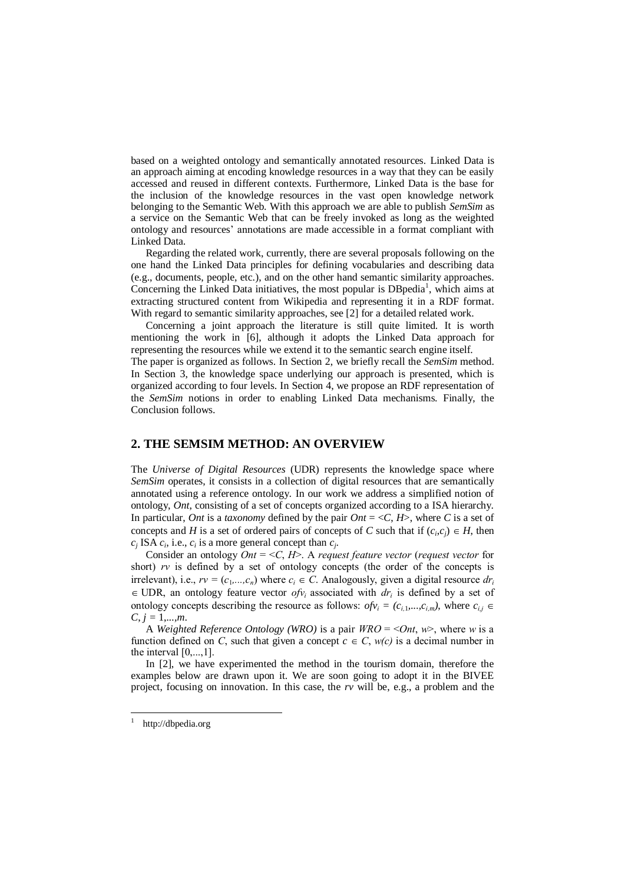based on a weighted ontology and semantically annotated resources. Linked Data is an approach aiming at encoding knowledge resources in a way that they can be easily accessed and reused in different contexts. Furthermore, Linked Data is the base for the inclusion of the knowledge resources in the vast open knowledge network belonging to the Semantic Web. With this approach we are able to publish *SemSim* as a service on the Semantic Web that can be freely invoked as long as the weighted ontology and resources' annotations are made accessible in a format compliant with Linked Data.

Regarding the related work, currently, there are several proposals following on the one hand the Linked Data principles for defining vocabularies and describing data (e.g., documents, people, etc.), and on the other hand semantic similarity approaches. Concerning the Linked Data initiatives, the most popular is DBpedia<sup>1</sup>, which aims at extracting structured content from Wikipedia and representing it in a RDF format. With regard to semantic similarity approaches, see [2] for a detailed related work.

Concerning a joint approach the literature is still quite limited. It is worth mentioning the work in [6], although it adopts the Linked Data approach for representing the resources while we extend it to the semantic search engine itself.

The paper is organized as follows. In Section 2, we briefly recall the *SemSim* method. In Section 3, the knowledge space underlying our approach is presented, which is organized according to four levels. In Section 4, we propose an RDF representation of the *SemSim* notions in order to enabling Linked Data mechanisms. Finally, the Conclusion follows.

## **2. THE SEMSIM METHOD: AN OVERVIEW**

The *Universe of Digital Resources* (UDR) represents the knowledge space where *SemSim* operates, it consists in a collection of digital resources that are semantically annotated using a reference ontology*.* In our work we address a simplified notion of ontology, *Ont*, consisting of a set of concepts organized according to a ISA hierarchy. In particular, *Ont* is a *taxonomy* defined by the pair *Ont* =  $\langle C, H \rangle$ , where *C* is a set of concepts and *H* is a set of ordered pairs of concepts of *C* such that if  $(c_i, c_j) \in H$ , then  $c_j$  ISA  $c_i$ , i.e.,  $c_i$  is a more general concept than  $c_j$ .

Consider an ontology *Ont* = <*C*, *H*>. A *request feature vector* (*request vector* for short) *rv* is defined by a set of ontology concepts (the order of the concepts is irrelevant), i.e.,  $rv = (c_1, ..., c_n)$  where  $c_i \in C$ . Analogously, given a digital resource  $dr_i$  $\in$  UDR, an ontology feature vector *ofv<sub>i</sub>* associated with *dr<sub>i</sub>* is defined by a set of ontology concepts describing the resource as follows:  $ofv_i = (c_{i,1},...,c_{i,m})$ , where  $c_{i,j} \in$  $C, j = 1, \ldots, m.$ 

A *Weighted Reference Ontology (WRO)* is a pair *WRO* = <*Ont*, *w*>, where *w* is a function defined on *C*, such that given a concept  $c \in C$ ,  $w(c)$  is a decimal number in the interval  $[0, ..., 1]$ .

In [2], we have experimented the method in the tourism domain, therefore the examples below are drawn upon it. We are soon going to adopt it in the BIVEE project, focusing on innovation. In this case, the *rv* will be, e.g., a problem and the

-

<sup>1</sup> http://dbpedia.org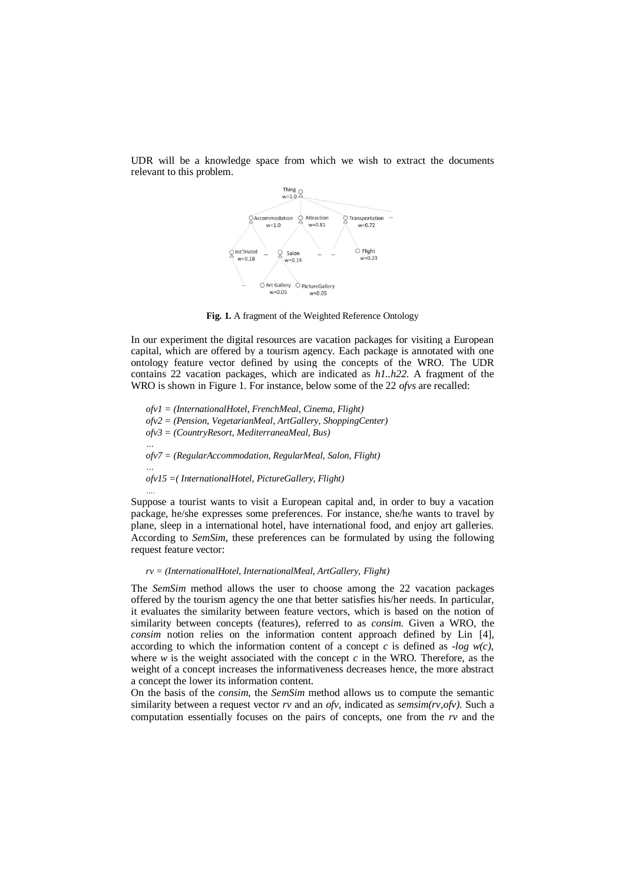

UDR will be a knowledge space from which we wish to extract the documents relevant to this problem.

**Fig. 1.** A fragment of the Weighted Reference Ontology

In our experiment the digital resources are vacation packages for visiting a European capital, which are offered by a tourism agency. Each package is annotated with one ontology feature vector defined by using the concepts of the WRO. The UDR contains 22 vacation packages, which are indicated as *h1..h22*. A fragment of the WRO is shown in Figure 1. For instance, below some of the 22 *ofvs* are recalled:

*ofv1 = (InternationalHotel, FrenchMeal, Cinema, Flight) ofv2 = (Pension, VegetarianMeal, ArtGallery, ShoppingCenter) ofv3 = (CountryResort, MediterraneaMeal, Bus) … ofv7 = (RegularAccommodation, RegularMeal, Salon, Flight) … ofv15 =( InternationalHotel, PictureGallery, Flight)*

*….*

Suppose a tourist wants to visit a European capital and, in order to buy a vacation package, he/she expresses some preferences. For instance, she/he wants to travel by plane, sleep in a international hotel, have international food, and enjoy art galleries. According to *SemSim*, these preferences can be formulated by using the following request feature vector:

#### *rv = (InternationalHotel, InternationalMeal, ArtGallery, Flight)*

The *SemSim* method allows the user to choose among the 22 vacation packages offered by the tourism agency the one that better satisfies his/her needs. In particular, it evaluates the similarity between feature vectors, which is based on the notion of similarity between concepts (features), referred to as *consim.* Given a WRO, the *consim* notion relies on the information content approach defined by Lin [4], according to which the information content of a concept *c* is defined as *-log w(c)*, where  $w$  is the weight associated with the concept  $c$  in the WRO. Therefore, as the weight of a concept increases the informativeness decreases hence, the more abstract a concept the lower its information content.

On the basis of the *consim*, the *SemSim* method allows us to compute the semantic similarity between a request vector *rv* and an *ofv*, indicated as *semsim(rv,ofv)*. Such a computation essentially focuses on the pairs of concepts, one from the *rv* and the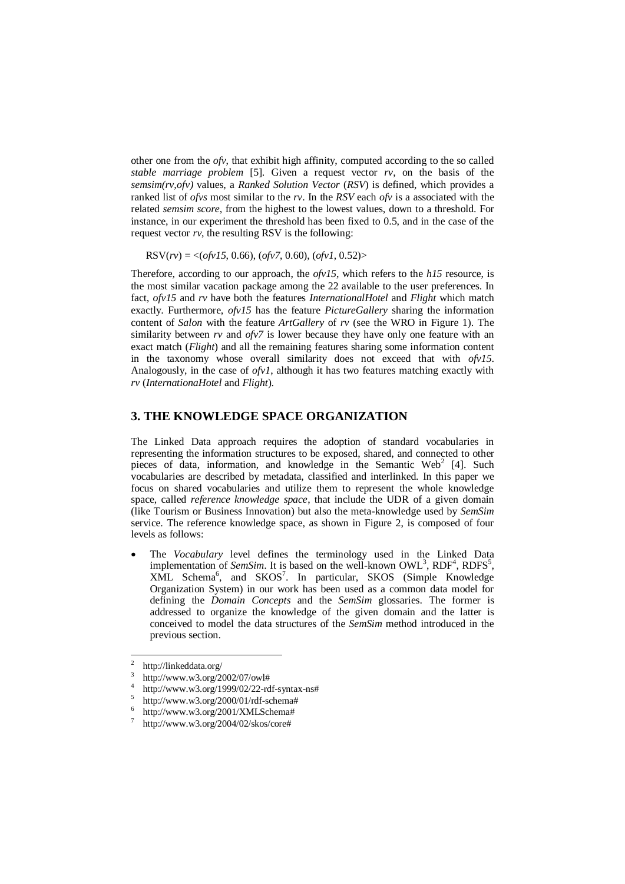other one from the *ofv*, that exhibit high affinity, computed according to the so called *stable marriage problem* [5]. Given a request vector *rv*, on the basis of the *semsim(rv,ofv)* values, a *Ranked Solution Vector* (*RSV*) is defined, which provides a ranked list of *ofvs* most similar to the *rv*. In the *RSV* each *ofv* is a associated with the related *semsim score*, from the highest to the lowest values, down to a threshold. For instance, in our experiment the threshold has been fixed to 0.5, and in the case of the request vector *rv*, the resulting RSV is the following:

RSV(*rv*) = <(*ofv15*, 0.66), (*ofv7*, 0.60), (*ofv1*, 0.52)>

Therefore, according to our approach, the *ofv15*, which refers to the *h15* resource, is the most similar vacation package among the 22 available to the user preferences. In fact, *ofv15* and *rv* have both the features *InternationalHotel* and *Flight* which match exactly. Furthermore, *ofv15* has the feature *PictureGallery* sharing the information content of *Salon* with the feature *ArtGallery* of *rv* (see the WRO in Figure 1). The similarity between *rv* and *ofv7* is lower because they have only one feature with an exact match (*Flight*) and all the remaining features sharing some information content in the taxonomy whose overall similarity does not exceed that with *ofv15*. Analogously, in the case of *ofv1*, although it has two features matching exactly with *rv* (*InternationaHotel* and *Flight*).

#### **3. THE KNOWLEDGE SPACE ORGANIZATION**

The Linked Data approach requires the adoption of standard vocabularies in representing the information structures to be exposed, shared, and connected to other pieces of data, information, and knowledge in the Semantic Web<sup>2</sup> [4]. Such vocabularies are described by metadata, classified and interlinked. In this paper we focus on shared vocabularies and utilize them to represent the whole knowledge space, called *reference knowledge space*, that include the UDR of a given domain (like Tourism or Business Innovation) but also the meta-knowledge used by *SemSim* service. The reference knowledge space, as shown in Figure 2, is composed of four levels as follows:

 The *Vocabulary* level defines the terminology used in the Linked Data implementation of *SemSim*. It is based on the well-known  $\text{OWL}^3$ ,  $\text{RDF}^4$ ,  $\text{RDFS}^5$ , XML Schema<sup>6</sup>, and SKOS<sup>7</sup>. In particular, SKOS (Simple Knowledge Organization System) in our work has been used as a common data model for defining the *Domain Concepts* and the *SemSim* glossaries. The former is addressed to organize the knowledge of the given domain and the latter is conceived to model the data structures of the *SemSim* method introduced in the previous section.

 $\frac{1}{2}$ <http://linkeddata.org/>

<sup>3</sup> http://www.w3.org/2002/07/owl#

<sup>4</sup> http://www.w3.org/1999/02/22-rdf-syntax-ns#

<sup>5</sup> http://www.w3.org/2000/01/rdf-schema#

<sup>6</sup> http://www.w3.org/2001/XMLSchema#

<sup>7</sup> http://www.w3.org/2004/02/skos/core#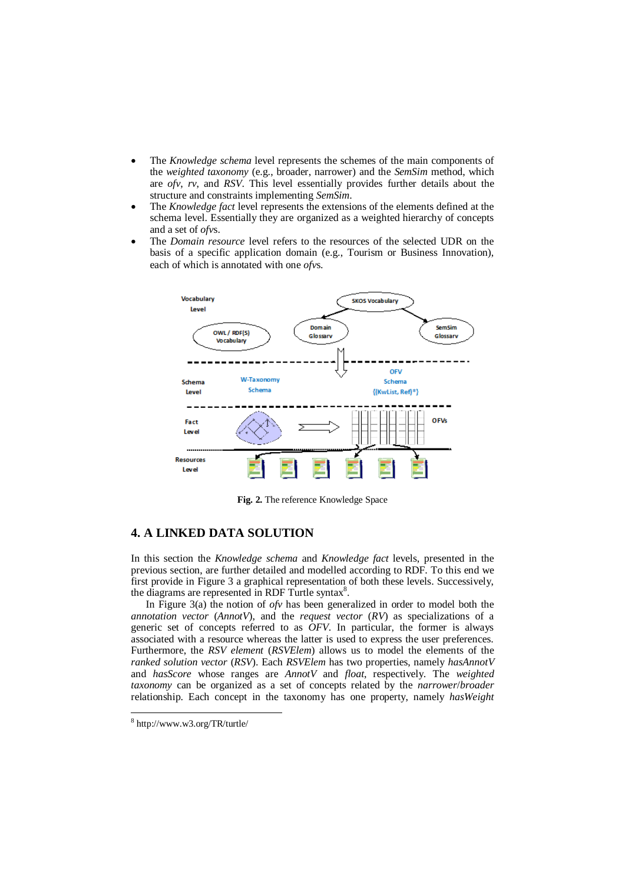- The *Knowledge schema* level represents the schemes of the main components of the *weighted taxonomy* (e.g., broader, narrower) and the *SemSim* method, which are *ofv*, *rv*, and *RSV*. This level essentially provides further details about the structure and constraints implementing *SemSim*.
- The *Knowledge fact* level represents the extensions of the elements defined at the schema level. Essentially they are organized as a weighted hierarchy of concepts and a set of *ofv*s.
- The *Domain resource* level refers to the resources of the selected UDR on the basis of a specific application domain (e.g., Tourism or Business Innovation), each of which is annotated with one *ofv*s.



**Fig. 2.** The reference Knowledge Space

## **4. A LINKED DATA SOLUTION**

In this section the *Knowledge schema* and *Knowledge fact* levels, presented in the previous section, are further detailed and modelled according to RDF. To this end we first provide in Figure 3 a graphical representation of both these levels. Successively, the diagrams are represented in RDF Turtle syntax<sup>8</sup>.

In Figure 3(a) the notion of *ofv* has been generalized in order to model both the *annotation vector* (*AnnotV*), and the *request vector* (*RV*) as specializations of a generic set of concepts referred to as *OFV*. In particular, the former is always associated with a resource whereas the latter is used to express the user preferences. Furthermore, the *RSV element* (*RSVElem*) allows us to model the elements of the *ranked solution vector* (*RSV*). Each *RSVElem* has two properties, namely *hasAnnotV* and *hasScore* whose ranges are *AnnotV* and *float*, respectively. The *weighted taxonomy* can be organized as a set of concepts related by the *narrower*/*broader* relationship. Each concept in the taxonomy has one property, namely *hasWeight*

-

<sup>8</sup> <http://www.w3.org/TR/turtle/>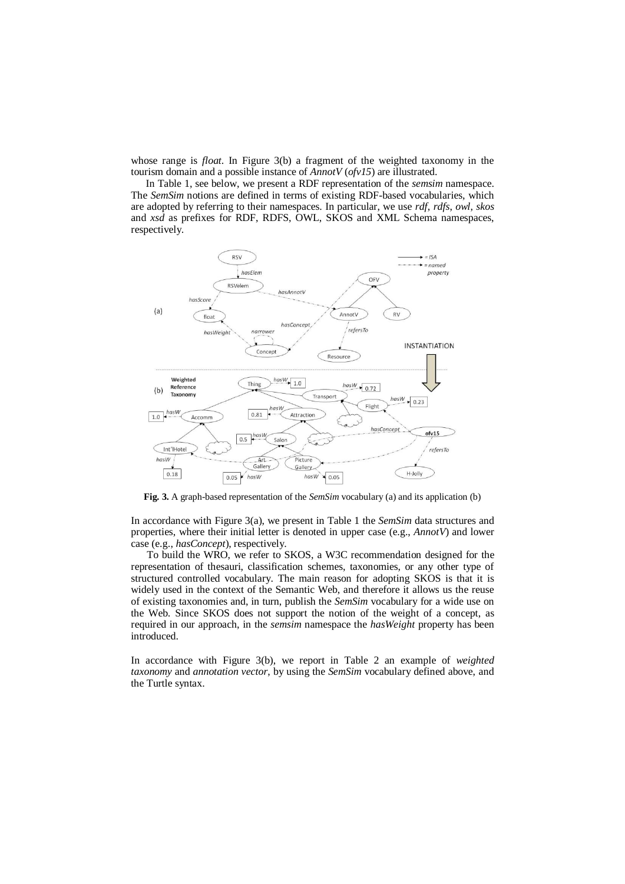whose range is *float*. In Figure 3(b) a fragment of the weighted taxonomy in the tourism domain and a possible instance of *AnnotV* (*ofv15*) are illustrated.

In Table 1, see below, we present a RDF representation of the *semsim* namespace. The *SemSim* notions are defined in terms of existing RDF-based vocabularies, which are adopted by referring to their namespaces. In particular, we use *rdf*, *rdfs*, *owl*, *skos* and *xsd* as prefixes for RDF, RDFS, OWL, SKOS and XML Schema namespaces, respectively.



**Fig. 3.** A graph-based representation of the *SemSim* vocabulary (a) and its application (b)

In accordance with Figure 3(a), we present in Table 1 the *SemSim* data structures and properties, where their initial letter is denoted in upper case (e.g., *AnnotV*) and lower case (e.g., *hasConcept*), respectively.

To build the WRO, we refer to SKOS, a W3C recommendation designed for the representation of thesauri, classification schemes, taxonomies, or any other type of structured controlled vocabulary. The main reason for adopting SKOS is that it is widely used in the context of the Semantic Web, and therefore it allows us the reuse of existing taxonomies and, in turn, publish the *SemSim* vocabulary for a wide use on the Web. Since SKOS does not support the notion of the weight of a concept, as required in our approach, in the *semsim* namespace the *hasWeight* property has been introduced.

In accordance with Figure 3(b), we report in Table 2 an example of *weighted taxonomy* and *annotation vector*, by using the *SemSim* vocabulary defined above, and the Turtle syntax.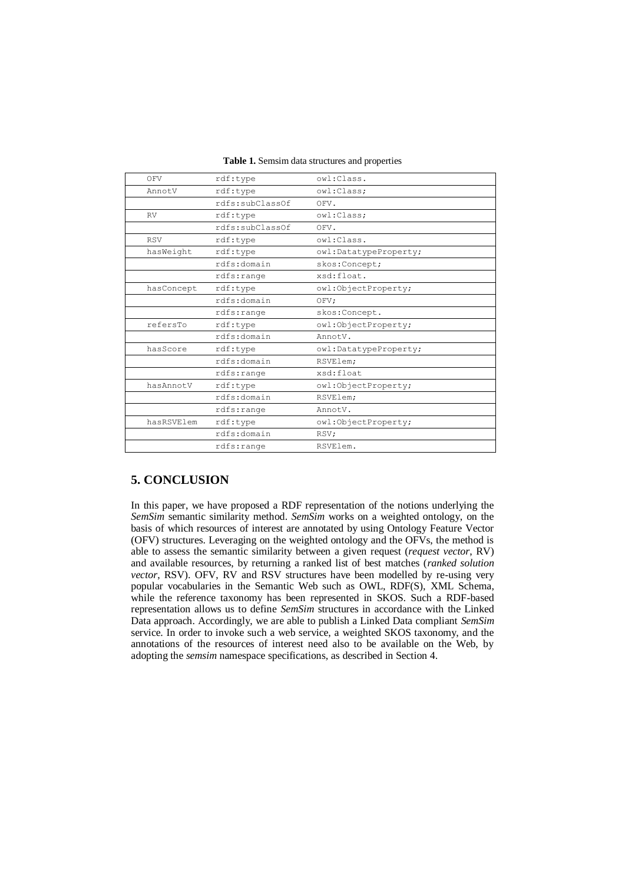| OFV        | rdf:type            | owl:Class.            |
|------------|---------------------|-----------------------|
| AnnotV     | $\texttt{rdf:type}$ | owl:Class;            |
|            | rdfs:subClassOf     | OFV.                  |
| <b>RV</b>  | rdf:type            | owl:Class;            |
|            | rdfs:subClassOf     | OFV.                  |
| <b>RSV</b> | rdf:type            | owl:Class.            |
| hasWeight  | $\texttt{rdf:type}$ | owl:DatatypeProperty; |
|            | rdfs:domain         | skos: Concept;        |
|            | rdfs:range          | xsd:float.            |
| hasConcept | $\texttt{rdf:type}$ | owl:ObjectProperty;   |
|            | rdfs:domain         | OFV;                  |
|            | rdfs:range          | skos: Concept.        |
| refersTo   | $\texttt{rdf:type}$ | owl:ObjectProperty;   |
|            | rdfs:domain         | AnnotV.               |
| hasScore   | $\texttt{rdf:type}$ | owl:DatatypeProperty; |
|            | rdfs:domain         | RSVElem;              |
|            | rdfs:range          | xsd:float             |
| hasAnnotV  | $\texttt{rdf:type}$ | owl:ObjectProperty;   |
|            | rdfs:domain         | RSVElem;              |
|            | rdfs:range          | AnnotV.               |
| hasRSVElem | $\texttt{rdf:type}$ | owl:ObjectProperty;   |
|            | rdfs:domain         | RSV;                  |
|            | rdfs:range          | RSVElem.              |

# **5. CONCLUSION**

In this paper, we have proposed a RDF representation of the notions underlying the *SemSim* semantic similarity method. *SemSim* works on a weighted ontology, on the basis of which resources of interest are annotated by using Ontology Feature Vector (OFV) structures. Leveraging on the weighted ontology and the OFVs, the method is able to assess the semantic similarity between a given request (*request vector*, RV) and available resources, by returning a ranked list of best matches (*ranked solution vector*, RSV). OFV, RV and RSV structures have been modelled by re-using very popular vocabularies in the Semantic Web such as OWL, RDF(S), XML Schema, while the reference taxonomy has been represented in SKOS. Such a RDF-based representation allows us to define *SemSim* structures in accordance with the Linked Data approach. Accordingly, we are able to publish a Linked Data compliant *SemSim* service. In order to invoke such a web service, a weighted SKOS taxonomy, and the annotations of the resources of interest need also to be available on the Web, by adopting the *semsim* namespace specifications, as described in Section 4.